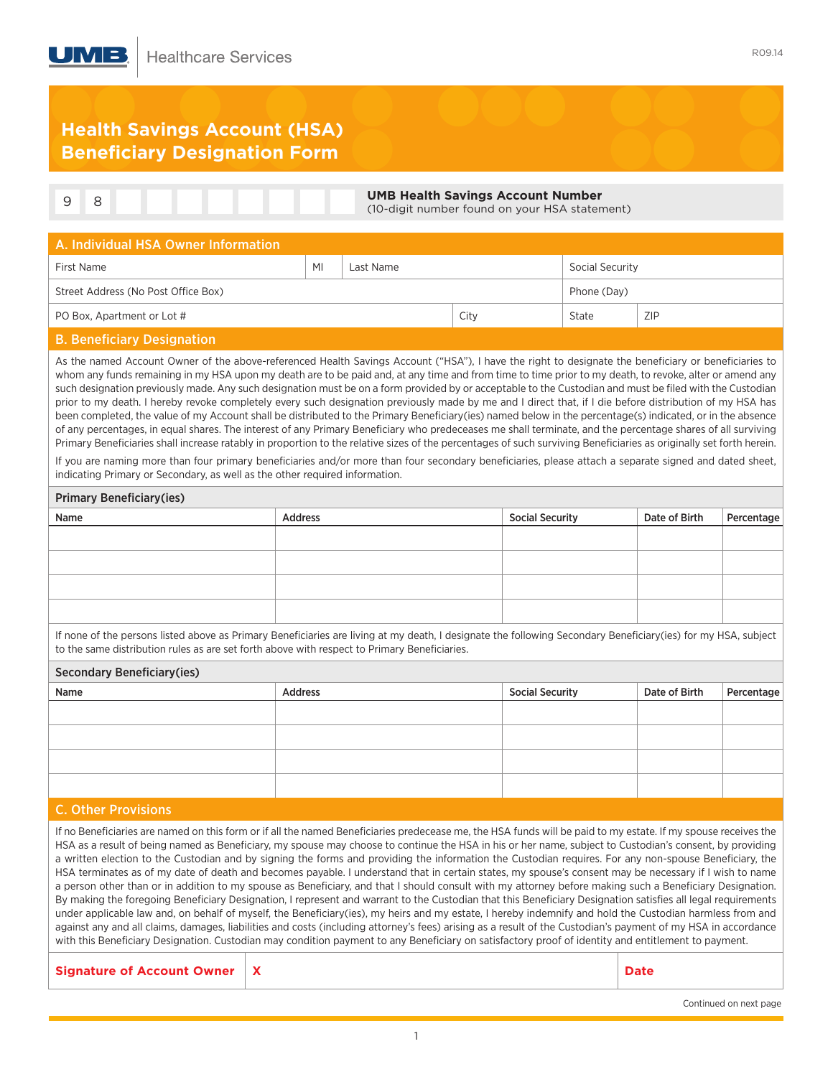## **Health Savings Account (HSA) Beneficiary Designation Form**

|  | <b>UMB Health Savings Account Number</b><br>(10-digit number found on your HSA statement) |
|--|-------------------------------------------------------------------------------------------|
|  |                                                                                           |

| A. Individual HSA Owner Information |    |           |      |                 |            |  |  |
|-------------------------------------|----|-----------|------|-----------------|------------|--|--|
| First Name                          | MI | Last Name |      | Social Security |            |  |  |
| Street Address (No Post Office Box) |    |           |      | Phone (Day)     |            |  |  |
| PO Box, Apartment or Lot #          |    |           | City | State           | <b>ZIP</b> |  |  |
|                                     |    |           |      |                 |            |  |  |

## B. Beneficiary Designation

As the named Account Owner of the above-referenced Health Savings Account ("HSA"), I have the right to designate the beneficiary or beneficiaries to whom any funds remaining in my HSA upon my death are to be paid and, at any time and from time to time prior to my death, to revoke, alter or amend any such designation previously made. Any such designation must be on a form provided by or acceptable to the Custodian and must be filed with the Custodian prior to my death. I hereby revoke completely every such designation previously made by me and I direct that, if I die before distribution of my HSA has been completed, the value of my Account shall be distributed to the Primary Beneficiary(ies) named below in the percentage(s) indicated, or in the absence of any percentages, in equal shares. The interest of any Primary Beneficiary who predeceases me shall terminate, and the percentage shares of all surviving Primary Beneficiaries shall increase ratably in proportion to the relative sizes of the percentages of such surviving Beneficiaries as originally set forth herein.

If you are naming more than four primary beneficiaries and/or more than four secondary beneficiaries, please attach a separate signed and dated sheet, indicating Primary or Secondary, as well as the other required information.

## Primary Beneficiary(ies)

| $\cdot$ |         |                        |               |            |  |  |  |
|---------|---------|------------------------|---------------|------------|--|--|--|
| Name    | Address | <b>Social Security</b> | Date of Birth | Percentage |  |  |  |
|         |         |                        |               |            |  |  |  |
|         |         |                        |               |            |  |  |  |
|         |         |                        |               |            |  |  |  |
|         |         |                        |               |            |  |  |  |
|         |         |                        |               |            |  |  |  |
|         |         |                        |               |            |  |  |  |

If none of the persons listed above as Primary Beneficiaries are living at my death, I designate the following Secondary Beneficiary(ies) for my HSA, subject to the same distribution rules as are set forth above with respect to Primary Beneficiaries.

#### Secondary Beneficiary(ies)

| Name | Address | <b>Social Security</b> | Date of Birth | Percentage |
|------|---------|------------------------|---------------|------------|
|      |         |                        |               |            |
|      |         |                        |               |            |
|      |         |                        |               |            |
|      |         |                        |               |            |
|      |         |                        |               |            |

## C. Other Provisions

If no Beneficiaries are named on this form or if all the named Beneficiaries predecease me, the HSA funds will be paid to my estate. If my spouse receives the HSA as a result of being named as Beneficiary, my spouse may choose to continue the HSA in his or her name, subject to Custodian's consent, by providing a written election to the Custodian and by signing the forms and providing the information the Custodian requires. For any non-spouse Beneficiary, the HSA terminates as of my date of death and becomes payable. I understand that in certain states, my spouse's consent may be necessary if I wish to name a person other than or in addition to my spouse as Beneficiary, and that I should consult with my attorney before making such a Beneficiary Designation. By making the foregoing Beneficiary Designation, I represent and warrant to the Custodian that this Beneficiary Designation satisfies all legal requirements under applicable law and, on behalf of myself, the Beneficiary(ies), my heirs and my estate, I hereby indemnify and hold the Custodian harmless from and against any and all claims, damages, liabilities and costs (including attorney's fees) arising as a result of the Custodian's payment of my HSA in accordance with this Beneficiary Designation. Custodian may condition payment to any Beneficiary on satisfactory proof of identity and entitlement to payment.

**Signature of Account Owner X Date**

Continued on next page